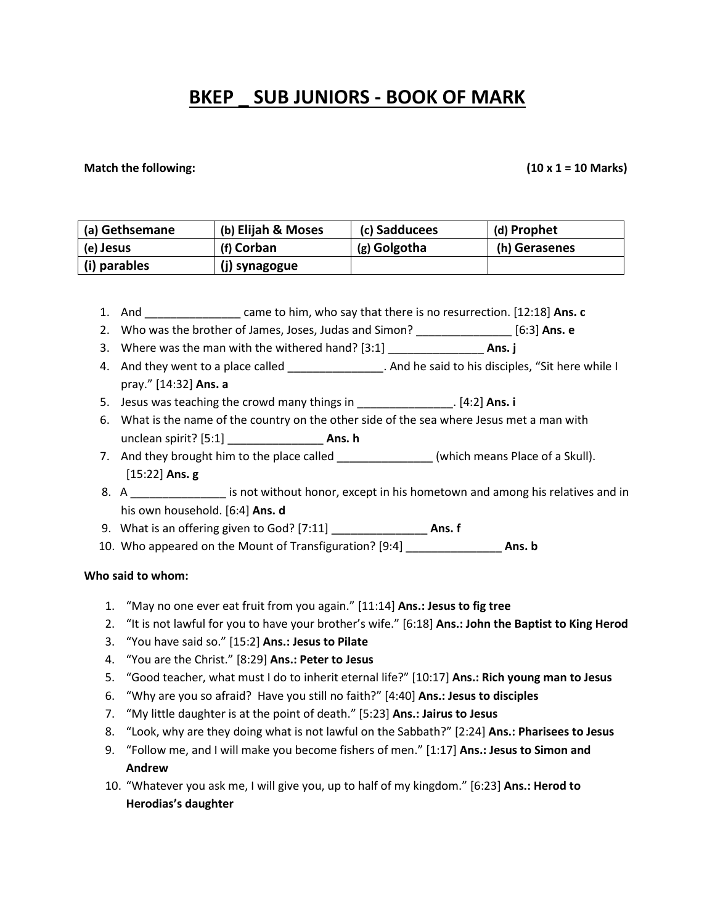# **BKEP \_ SUB JUNIORS - BOOK OF MARK**

#### **Match the following: (10 x 1 = 10 Marks)**

| (a) Gethsemane | (b) Elijah & Moses | (c) Sadducees | (d) Prophet   |
|----------------|--------------------|---------------|---------------|
| (e) Jesus      | (f) Corban         | (g) Golgotha  | (h) Gerasenes |
| (i) parables   | (j) synagogue      |               |               |

- 1. And \_\_\_\_\_\_\_\_\_\_\_\_\_\_\_ came to him, who say that there is no resurrection. [12:18] **Ans. c**
- 2. Who was the brother of James, Joses, Judas and Simon? \_\_\_\_\_\_\_\_\_\_\_\_\_\_\_ [6:3] **Ans. e**
- 3. Where was the man with the withered hand? [3:1] \_\_\_\_\_\_\_\_\_\_\_\_\_\_\_ **Ans. j**
- 4. And they went to a place called **All and the said to his disciples, "Sit here while I** pray." [14:32] **Ans. a**
- 5. Jesus was teaching the crowd many things in \_\_\_\_\_\_\_\_\_\_\_\_\_\_\_. [4:2] **Ans. i**
- 6. What is the name of the country on the other side of the sea where Jesus met a man with unclean spirit? [5:1] \_\_\_\_\_\_\_\_\_\_\_\_\_\_\_ **Ans. h**
- 7. And they brought him to the place called \_\_\_\_\_\_\_\_\_\_\_\_\_\_\_\_\_(which means Place of a Skull). [15:22] **Ans. g**
- 8. A can also is not without honor, except in his hometown and among his relatives and in his own household. [6:4] **Ans. d**
- 9. What is an offering given to God? [7:11] \_\_\_\_\_\_\_\_\_\_\_\_\_\_\_ **Ans. f**
- 10. Who appeared on the Mount of Transfiguration? [9:4] \_\_\_\_\_\_\_\_\_\_\_\_\_\_\_ **Ans. b**

#### **Who said to whom:**

- 1. "May no one ever eat fruit from you again." [11:14] **Ans.: Jesus to fig tree**
- 2. "It is not lawful for you to have your brother's wife." [6:18] **Ans.: John the Baptist to King Herod**
- 3. "You have said so." [15:2] **Ans.: Jesus to Pilate**
- 4. "You are the Christ." [8:29] **Ans.: Peter to Jesus**
- 5. "Good teacher, what must I do to inherit eternal life?" [10:17] **Ans.: Rich young man to Jesus**
- 6. "Why are you so afraid? Have you still no faith?" [4:40] **Ans.: Jesus to disciples**
- 7. "My little daughter is at the point of death." [5:23] **Ans.: Jairus to Jesus**
- 8. "Look, why are they doing what is not lawful on the Sabbath?" [2:24] **Ans.: Pharisees to Jesus**
- 9. "Follow me, and I will make you become fishers of men." [1:17] **Ans.: Jesus to Simon and Andrew**
- 10. "Whatever you ask me, I will give you, up to half of my kingdom." [6:23] **Ans.: Herod to Herodias's daughter**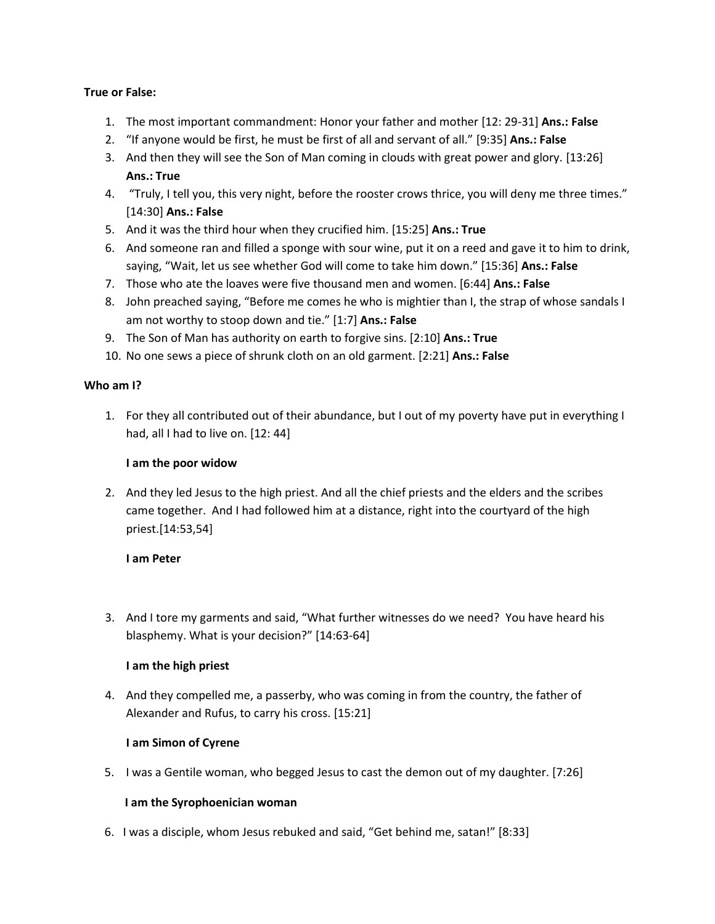#### **True or False:**

- 1. The most important commandment: Honor your father and mother [12: 29-31] **Ans.: False**
- 2. "If anyone would be first, he must be first of all and servant of all." [9:35] **Ans.: False**
- 3. And then they will see the Son of Man coming in clouds with great power and glory. [13:26] **Ans.: True**
- 4. "Truly, I tell you, this very night, before the rooster crows thrice, you will deny me three times." [14:30] **Ans.: False**
- 5. And it was the third hour when they crucified him. [15:25] **Ans.: True**
- 6. And someone ran and filled a sponge with sour wine, put it on a reed and gave it to him to drink, saying, "Wait, let us see whether God will come to take him down." [15:36] **Ans.: False**
- 7. Those who ate the loaves were five thousand men and women. [6:44] **Ans.: False**
- 8. John preached saying, "Before me comes he who is mightier than I, the strap of whose sandals I am not worthy to stoop down and tie." [1:7] **Ans.: False**
- 9. The Son of Man has authority on earth to forgive sins. [2:10] **Ans.: True**
- 10. No one sews a piece of shrunk cloth on an old garment. [2:21] **Ans.: False**

# **Who am I?**

1. For they all contributed out of their abundance, but I out of my poverty have put in everything I had, all I had to live on. [12: 44]

#### **I am the poor widow**

2. And they led Jesus to the high priest. And all the chief priests and the elders and the scribes came together. And I had followed him at a distance, right into the courtyard of the high priest.[14:53,54]

# **I am Peter**

3. And I tore my garments and said, "What further witnesses do we need? You have heard his blasphemy. What is your decision?" [14:63-64]

# **I am the high priest**

4. And they compelled me, a passerby, who was coming in from the country, the father of Alexander and Rufus, to carry his cross. [15:21]

# **I am Simon of Cyrene**

5. I was a Gentile woman, who begged Jesus to cast the demon out of my daughter. [7:26]

# **I am the Syrophoenician woman**

6. I was a disciple, whom Jesus rebuked and said, "Get behind me, satan!" [8:33]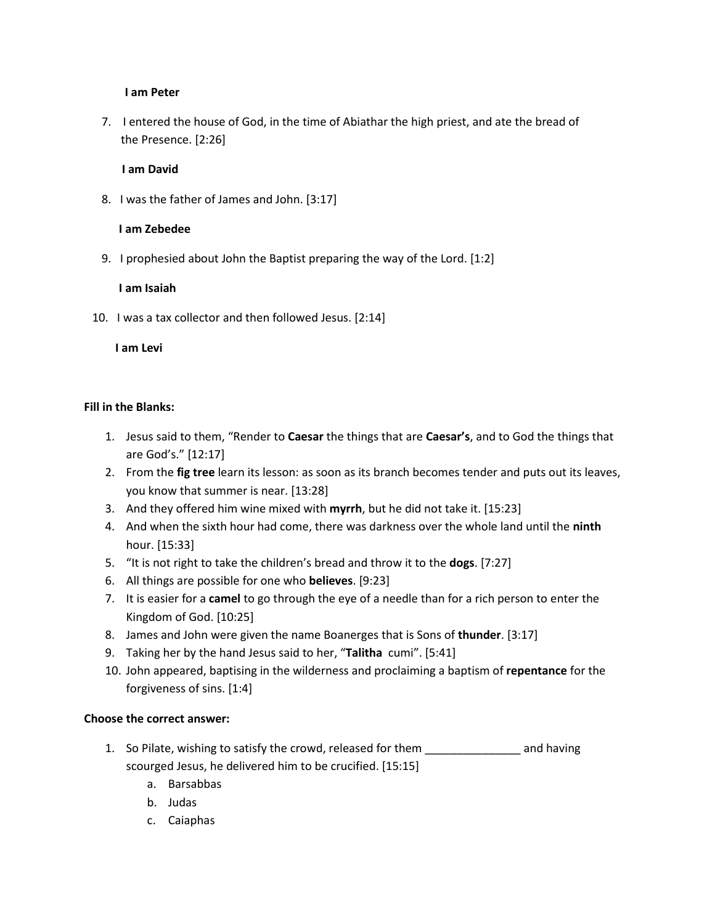#### **I am Peter**

7. I entered the house of God, in the time of Abiathar the high priest, and ate the bread of the Presence. [2:26]

#### **I am David**

8. I was the father of James and John. [3:17]

#### **I am Zebedee**

9. I prophesied about John the Baptist preparing the way of the Lord. [1:2]

#### **I am Isaiah**

10. I was a tax collector and then followed Jesus. [2:14]

**I am Levi**

#### **Fill in the Blanks:**

- 1. Jesus said to them, "Render to **Caesar** the things that are **Caesar's**, and to God the things that are God's." [12:17]
- 2. From the **fig tree** learn its lesson: as soon as its branch becomes tender and puts out its leaves, you know that summer is near. [13:28]
- 3. And they offered him wine mixed with **myrrh**, but he did not take it. [15:23]
- 4. And when the sixth hour had come, there was darkness over the whole land until the **ninth** hour. [15:33]
- 5. "It is not right to take the children's bread and throw it to the **dogs**. [7:27]
- 6. All things are possible for one who **believes**. [9:23]
- 7. It is easier for a **camel** to go through the eye of a needle than for a rich person to enter the Kingdom of God. [10:25]
- 8. James and John were given the name Boanerges that is Sons of **thunder**. [3:17]
- 9. Taking her by the hand Jesus said to her, "**Talitha** cumi". [5:41]
- 10. John appeared, baptising in the wilderness and proclaiming a baptism of **repentance** for the forgiveness of sins. [1:4]

# **Choose the correct answer:**

- 1. So Pilate, wishing to satisfy the crowd, released for them \_\_\_\_\_\_\_\_\_\_\_\_\_\_\_ and having scourged Jesus, he delivered him to be crucified. [15:15]
	- a. Barsabbas
	- b. Judas
	- c. Caiaphas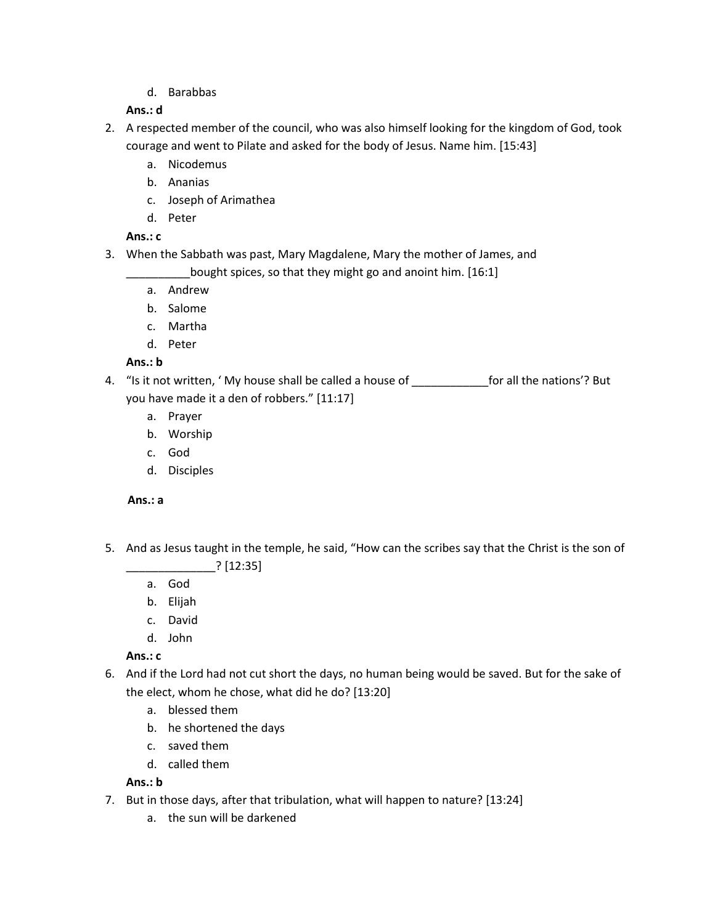d. Barabbas

# **Ans.: d**

- 2. A respected member of the council, who was also himself looking for the kingdom of God, took courage and went to Pilate and asked for the body of Jesus. Name him. [15:43]
	- a. Nicodemus
	- b. Ananias
	- c. Joseph of Arimathea
	- d. Peter

# **Ans.: c**

3. When the Sabbath was past, Mary Magdalene, Mary the mother of James, and

bought spices, so that they might go and anoint him. [16:1]

- a. Andrew
- b. Salome
- c. Martha
- d. Peter

# **Ans.: b**

- 4. "Is it not written, ' My house shall be called a house of for all the nations'? But you have made it a den of robbers." [11:17]
	- a. Prayer
	- b. Worship
	- c. God
	- d. Disciples

# **Ans.: a**

- 5. And as Jesus taught in the temple, he said, "How can the scribes say that the Christ is the son of \_\_\_\_\_\_\_\_\_\_\_\_\_\_? [12:35]
	- a. God
	- b. Elijah
	- c. David
	- d. John

**Ans.: c**

- 6. And if the Lord had not cut short the days, no human being would be saved. But for the sake of the elect, whom he chose, what did he do? [13:20]
	- a. blessed them
	- b. he shortened the days
	- c. saved them
	- d. called them

# **Ans.: b**

- 7. But in those days, after that tribulation, what will happen to nature? [13:24]
	- a. the sun will be darkened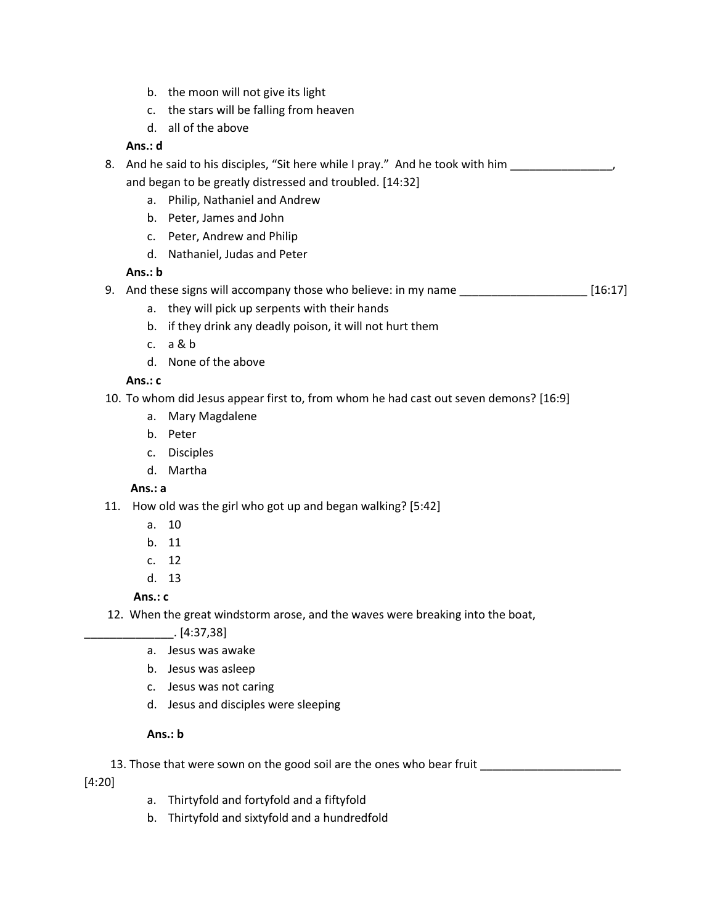- b. the moon will not give its light
- c. the stars will be falling from heaven
- d. all of the above

# **Ans.: d**

- 8. And he said to his disciples, "Sit here while I pray." And he took with him \_\_\_\_\_\_\_\_\_\_\_\_\_\_\_ and began to be greatly distressed and troubled. [14:32]
	- a. Philip, Nathaniel and Andrew
	- b. Peter, James and John
	- c. Peter, Andrew and Philip
	- d. Nathaniel, Judas and Peter

# **Ans.: b**

- 9. And these signs will accompany those who believe: in my name \_\_\_\_\_\_\_\_\_\_\_\_\_\_\_\_\_\_\_\_\_\_\_ [16:17]
	- a. they will pick up serpents with their hands
	- b. if they drink any deadly poison, it will not hurt them
	- c. a & b
	- d. None of the above

# **Ans.: c**

- 10. To whom did Jesus appear first to, from whom he had cast out seven demons? [16:9]
	- a. Mary Magdalene
	- b. Peter
	- c. Disciples
	- d. Martha

# **Ans.: a**

- 11. How old was the girl who got up and began walking? [5:42]
	- a. 10
	- b. 11
	- c. 12
	- d. 13

**Ans.: c**

- 12. When the great windstorm arose, and the waves were breaking into the boat,
	- \_\_\_\_\_\_\_\_\_\_\_\_\_\_. [4:37,38]
	- a. Jesus was awake
	- b. Jesus was asleep
	- c. Jesus was not caring
	- d. Jesus and disciples were sleeping

# **Ans.: b**

13. Those that were sown on the good soil are the ones who bear fruit \_\_\_\_\_\_\_\_\_\_

[4:20]

- a. Thirtyfold and fortyfold and a fiftyfold
- b. Thirtyfold and sixtyfold and a hundredfold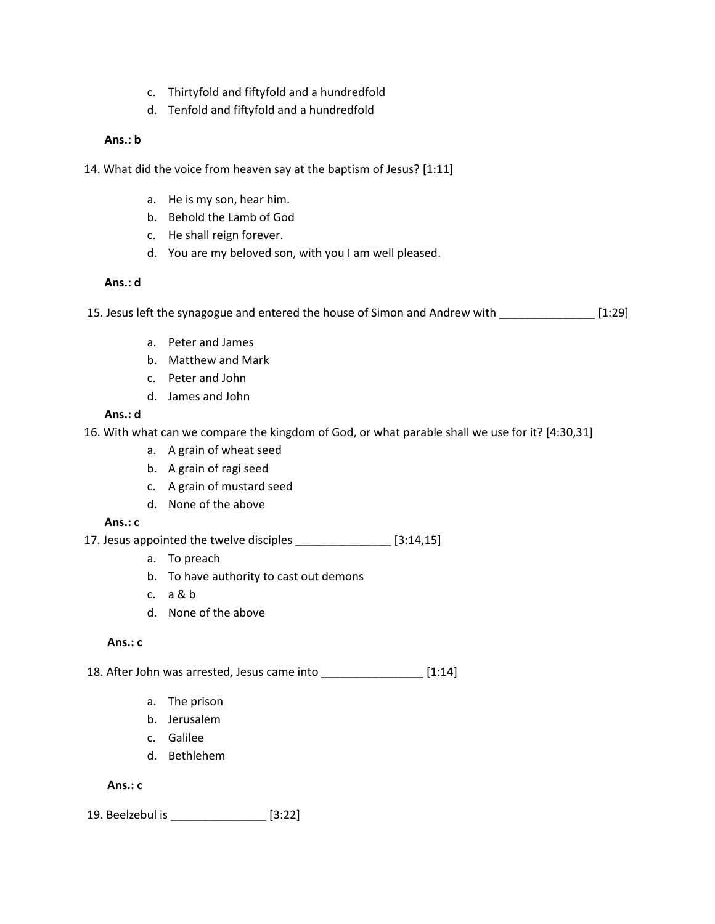- c. Thirtyfold and fiftyfold and a hundredfold
- d. Tenfold and fiftyfold and a hundredfold

# **Ans.: b**

- 14. What did the voice from heaven say at the baptism of Jesus? [1:11]
	- a. He is my son, hear him.
	- b. Behold the Lamb of God
	- c. He shall reign forever.
	- d. You are my beloved son, with you I am well pleased.

#### **Ans.: d**

15. Jesus left the synagogue and entered the house of Simon and Andrew with \_\_\_\_\_\_\_\_\_\_\_\_\_\_\_ [1:29]

- a. Peter and James
- b. Matthew and Mark
- c. Peter and John
- d. James and John

#### **Ans.: d**

16. With what can we compare the kingdom of God, or what parable shall we use for it? [4:30,31]

- a. A grain of wheat seed
- b. A grain of ragi seed
- c. A grain of mustard seed
- d. None of the above

#### **Ans.: c**

17. Jesus appointed the twelve disciples [3:14,15]

- a. To preach
- b. To have authority to cast out demons
- c. a & b
- d. None of the above

#### **Ans.: c**

18. After John was arrested, Jesus came into \_\_\_\_\_\_\_\_\_\_\_\_\_\_\_\_ [1:14]

- a. The prison
- b. Jerusalem
- c. Galilee
- d. Bethlehem

#### **Ans.: c**

19. Beelzebul is \_\_\_\_\_\_\_\_\_\_\_\_\_\_\_ [3:22]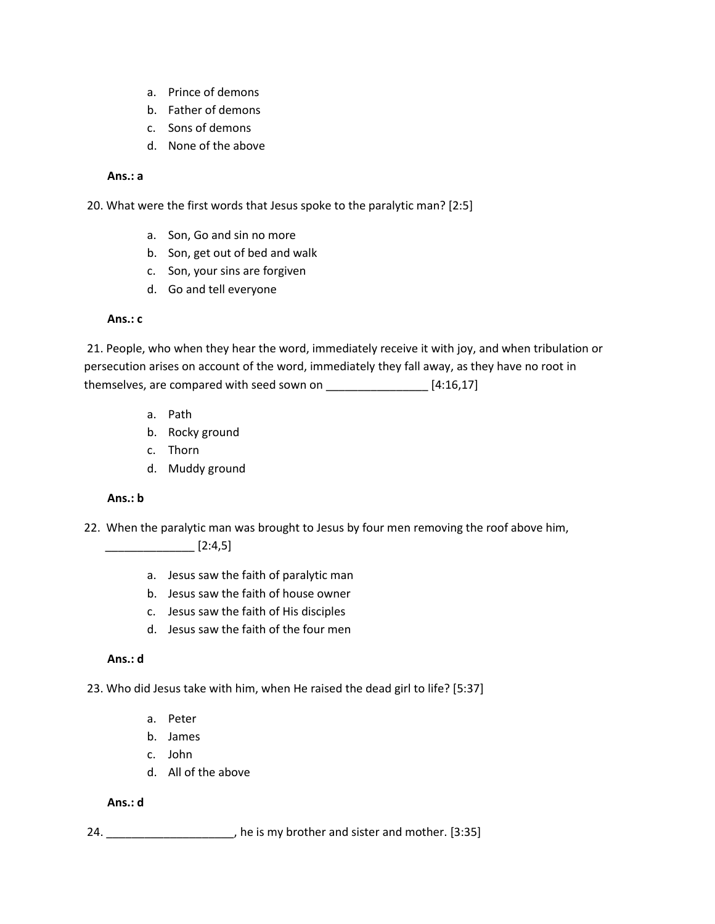- a. Prince of demons
- b. Father of demons
- c. Sons of demons
- d. None of the above

#### **Ans.: a**

20. What were the first words that Jesus spoke to the paralytic man? [2:5]

- a. Son, Go and sin no more
- b. Son, get out of bed and walk
- c. Son, your sins are forgiven
- d. Go and tell everyone

#### **Ans.: c**

21. People, who when they hear the word, immediately receive it with joy, and when tribulation or persecution arises on account of the word, immediately they fall away, as they have no root in themselves, are compared with seed sown on \_\_\_\_\_\_\_\_\_\_\_\_\_\_\_\_\_\_\_ [4:16,17]

- a. Path
- b. Rocky ground
- c. Thorn
- d. Muddy ground

#### **Ans.: b**

22. When the paralytic man was brought to Jesus by four men removing the roof above him,

 $\begin{bmatrix} 2:4,5 \end{bmatrix}$ 

- a. Jesus saw the faith of paralytic man
- b. Jesus saw the faith of house owner
- c. Jesus saw the faith of His disciples
- d. Jesus saw the faith of the four men

#### **Ans.: d**

23. Who did Jesus take with him, when He raised the dead girl to life? [5:37]

- a. Peter
- b. James
- c. John
- d. All of the above

#### **Ans.: d**

24. \_\_\_\_\_\_\_\_\_\_\_\_\_\_\_\_\_\_\_\_\_\_, he is my brother and sister and mother. [3:35]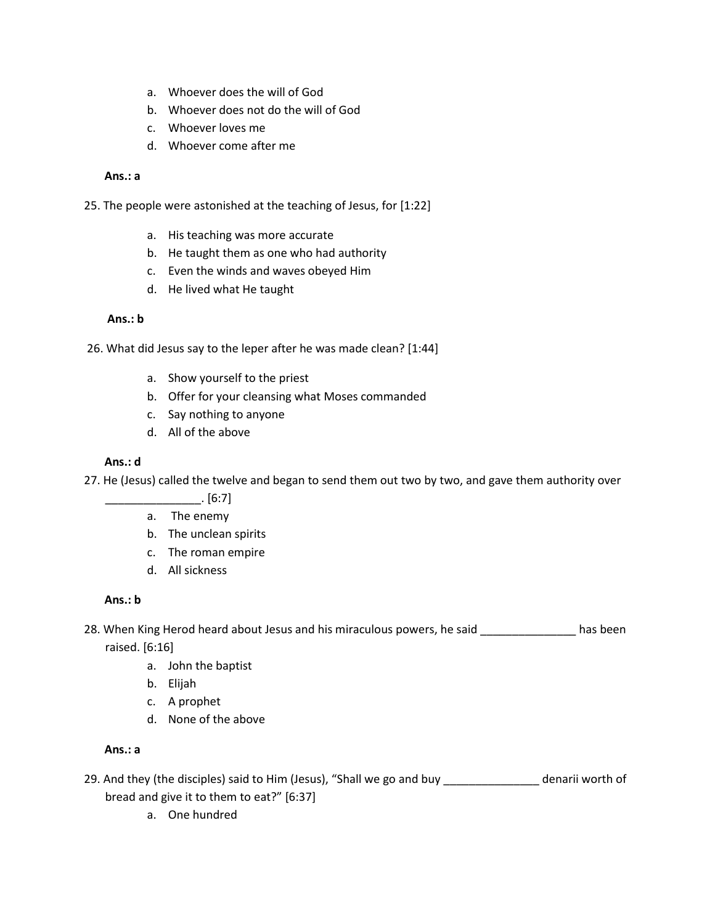- a. Whoever does the will of God
- b. Whoever does not do the will of God
- c. Whoever loves me
- d. Whoever come after me

#### **Ans.: a**

25. The people were astonished at the teaching of Jesus, for [1:22]

- a. His teaching was more accurate
- b. He taught them as one who had authority
- c. Even the winds and waves obeyed Him
- d. He lived what He taught

#### **Ans.: b**

26. What did Jesus say to the leper after he was made clean? [1:44]

- a. Show yourself to the priest
- b. Offer for your cleansing what Moses commanded
- c. Say nothing to anyone
- d. All of the above

#### **Ans.: d**

- 27. He (Jesus) called the twelve and began to send them out two by two, and gave them authority over
	- \_\_\_\_\_\_\_\_\_\_\_\_\_\_\_. [6:7]
	- a. The enemy
	- b. The unclean spirits
	- c. The roman empire
	- d. All sickness

#### **Ans.: b**

28. When King Herod heard about Jesus and his miraculous powers, he said \_\_\_\_\_\_\_\_\_\_\_\_\_\_\_ has been

raised. [6:16]

- a. John the baptist
- b. Elijah
- c. A prophet
- d. None of the above

#### **Ans.: a**

- 29. And they (the disciples) said to Him (Jesus), "Shall we go and buy \_\_\_\_\_\_\_\_\_\_\_\_\_\_ denarii worth of bread and give it to them to eat?" [6:37]
	- a. One hundred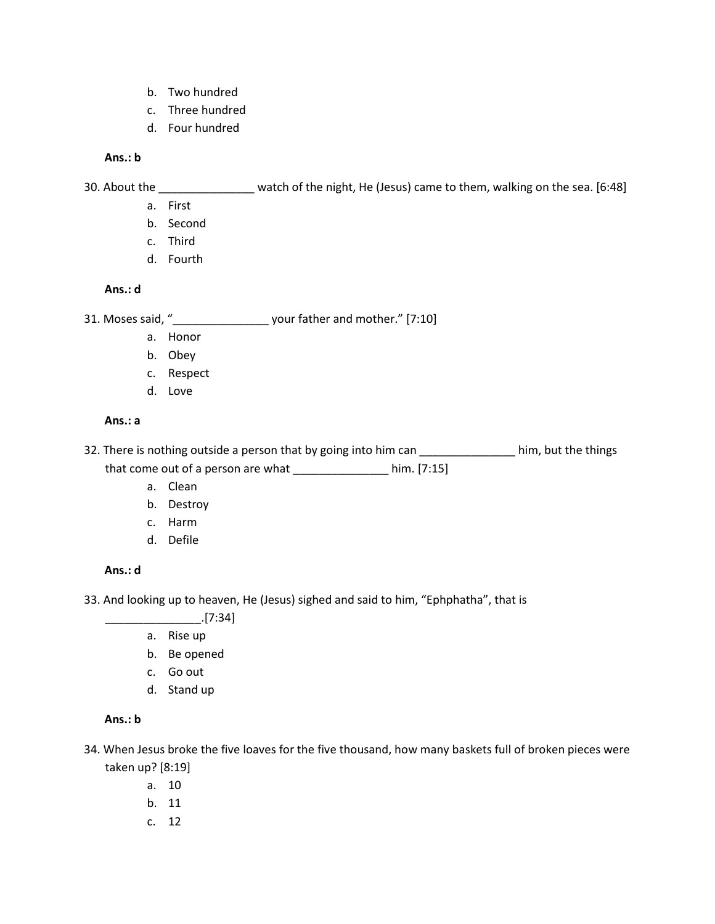- b. Two hundred
- c. Three hundred
- d. Four hundred

#### **Ans.: b**

30. About the \_\_\_\_\_\_\_\_\_\_\_\_\_\_\_ watch of the night, He (Jesus) came to them, walking on the sea. [6:48]

- a. First
- b. Second
- c. Third
- d. Fourth

#### **Ans.: d**

31. Moses said, "\_\_\_\_\_\_\_\_\_\_\_\_\_\_\_ your father and mother." [7:10]

- a. Honor
- b. Obey
- c. Respect
- d. Love

#### **Ans.: a**

32. There is nothing outside a person that by going into him can \_\_\_\_\_\_\_\_\_\_\_\_\_\_\_\_ him, but the things that come out of a person are what \_\_\_\_\_\_\_\_\_\_\_\_\_\_\_\_\_ him. [7:15]

- a. Clean
- b. Destroy
- c. Harm
- d. Defile

#### **Ans.: d**

33. And looking up to heaven, He (Jesus) sighed and said to him, "Ephphatha", that is

- \_\_\_\_\_\_\_\_\_\_\_\_\_\_\_.[7:34]
- a. Rise up
- b. Be opened
- c. Go out
- d. Stand up

# **Ans.: b**

- 34. When Jesus broke the five loaves for the five thousand, how many baskets full of broken pieces were taken up? [8:19]
	- a. 10
	- b. 11
	- c. 12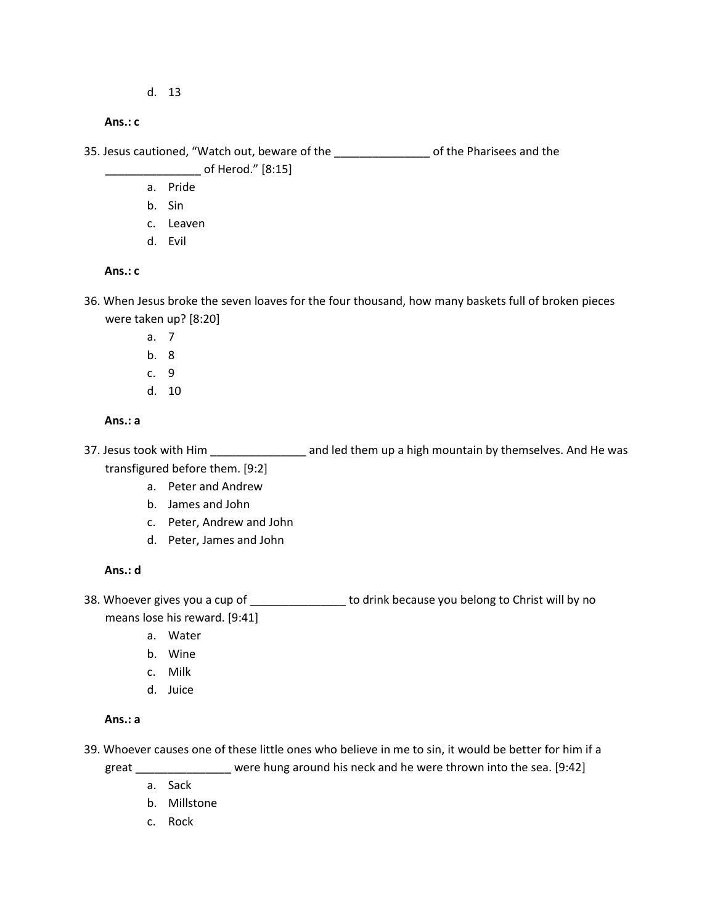d. 13

#### **Ans.: c**

35. Jesus cautioned, "Watch out, beware of the \_\_\_\_\_\_\_\_\_\_\_\_\_\_\_ of the Pharisees and the

# \_\_\_\_\_\_\_\_\_\_\_\_\_\_\_ of Herod." [8:15]

- a. Pride
- b. Sin
- c. Leaven
- d. Evil

# **Ans.: c**

- 36. When Jesus broke the seven loaves for the four thousand, how many baskets full of broken pieces were taken up? [8:20]
	- a. 7
	- b. 8
	- c. 9
	- d. 10

# **Ans.: a**

- 37. Jesus took with Him \_\_\_\_\_\_\_\_\_\_\_\_\_\_\_\_\_\_\_ and led them up a high mountain by themselves. And He was transfigured before them. [9:2]
	- a. Peter and Andrew
	- b. James and John
	- c. Peter, Andrew and John
	- d. Peter, James and John

# **Ans.: d**

38. Whoever gives you a cup of \_\_\_\_\_\_\_\_\_\_\_\_\_\_\_\_\_\_ to drink because you belong to Christ will by no means lose his reward. [9:41]

- a. Water
- b. Wine
- c. Milk
- d. Juice

#### **Ans.: a**

39. Whoever causes one of these little ones who believe in me to sin, it would be better for him if a

great \_\_\_\_\_\_\_\_\_\_\_\_\_\_\_ were hung around his neck and he were thrown into the sea. [9:42]

- a. Sack
- b. Millstone
- c. Rock